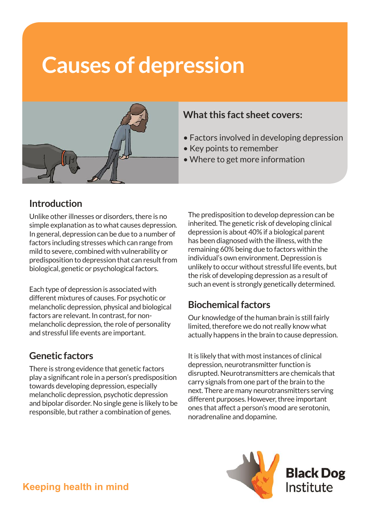# **Causes of depression**



#### **What this fact sheet covers:**

- Factors involved in developing depression
- Key points to remember
- Where to get more information

### **Introduction**

Unlike other illnesses or disorders, there is no simple explanation as to what causes depression. In general, depression can be due to a number of factors including stresses which can range from mild to severe, combined with vulnerability or predisposition to depression that can result from biological, genetic or psychological factors.

Each type of depression is associated with different mixtures of causes. For psychotic or melancholic depression, physical and biological factors are relevant. In contrast, for nonmelancholic depression, the role of personality and stressful life events are important.

# **Genetic factors**

There is strong evidence that genetic factors play a significant role in a person's predisposition towards developing depression, especially melancholic depression, psychotic depression and bipolar disorder. No single gene is likely to be responsible, but rather a combination of genes.

The predisposition to develop depression can be inherited. The genetic risk of developing clinical depression is about 40% if a biological parent has been diagnosed with the illness, with the remaining 60% being due to factors within the individual's own environment. Depression is unlikely to occur without stressful life events, but the risk of developing depression as a result of such an event is strongly genetically determined.

# **Biochemical factors**

Our knowledge of the human brain is still fairly limited, therefore we do not really know what actually happens in the brain to cause depression.

It is likely that with most instances of clinical depression, neurotransmitter function is disrupted. Neurotransmitters are chemicals that carry signals from one part of the brain to the next. There are many neurotransmitters serving different purposes. However, three important ones that affect a person's mood are serotonin, noradrenaline and dopamine.

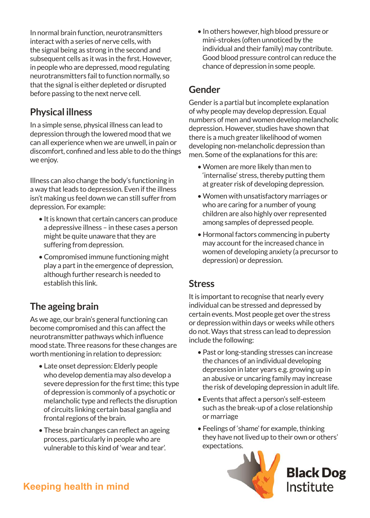In normal brain function, neurotransmitters interact with a series of nerve cells, with the signal being as strong in the second and subsequent cells as it was in the first. However, in people who are depressed, mood regulating neurotransmitters fail to function normally, so that the signal is either depleted or disrupted before passing to the next nerve cell.

#### **Physical illness**

In a simple sense, physical illness can lead to depression through the lowered mood that we can all experience when we are unwell, in pain or discomfort, confined and less able to do the things we enjoy.

Illness can also change the body's functioning in a way that leads to depression. Even if the illness isn't making us feel down we can still suffer from depression. For example:

- It is known that certain cancers can produce a depressive illness – in these cases a person might be quite unaware that they are suffering from depression.
- Compromised immune functioning might play a part in the emergence of depression, although further research is needed to establish this link.

#### **The ageing brain**

As we age, our brain's general functioning can become compromised and this can affect the neurotransmitter pathways which influence mood state. Three reasons for these changes are worth mentioning in relation to depression:

- Late onset depression: Elderly people who develop dementia may also develop a severe depression for the first time; this type of depression is commonly of a psychotic or melancholic type and reflects the disruption of circuits linking certain basal ganglia and frontal regions of the brain.
- These brain changes can reflect an ageing process, particularly in people who are vulnerable to this kind of 'wear and tear'.

• In others however, high blood pressure or mini-strokes (often unnoticed by the individual and their family) may contribute. Good blood pressure control can reduce the chance of depression in some people.

#### **Gender**

Gender is a partial but incomplete explanation of why people may develop depression. Equal numbers of men and women develop melancholic depression. However, studies have shown that there is a much greater likelihood of women developing non-melancholic depression than men. Some of the explanations for this are:

- Women are more likely than men to 'internalise' stress, thereby putting them at greater risk of developing depression.
- Women with unsatisfactory marriages or who are caring for a number of young children are also highly over represented among samples of depressed people.
- Hormonal factors commencing in puberty may account for the increased chance in women of developing anxiety (a precursor to depression) or depression.

#### **Stress**

It is important to recognise that nearly every individual can be stressed and depressed by certain events. Most people get over the stress or depression within days or weeks while others do not. Ways that stress can lead to depression include the following:

- Past or long-standing stresses can increase the chances of an individual developing depression in later years e.g. growing up in an abusive or uncaring family may increase the risk of developing depression in adult life.
- Events that affect a person's self-esteem such as the break-up of a close relationship or marriage
- Feelings of 'shame' for example, thinking they have not lived up to their own or others' expectations.



**Black Dog** Institute

# **Keeping health in mind**